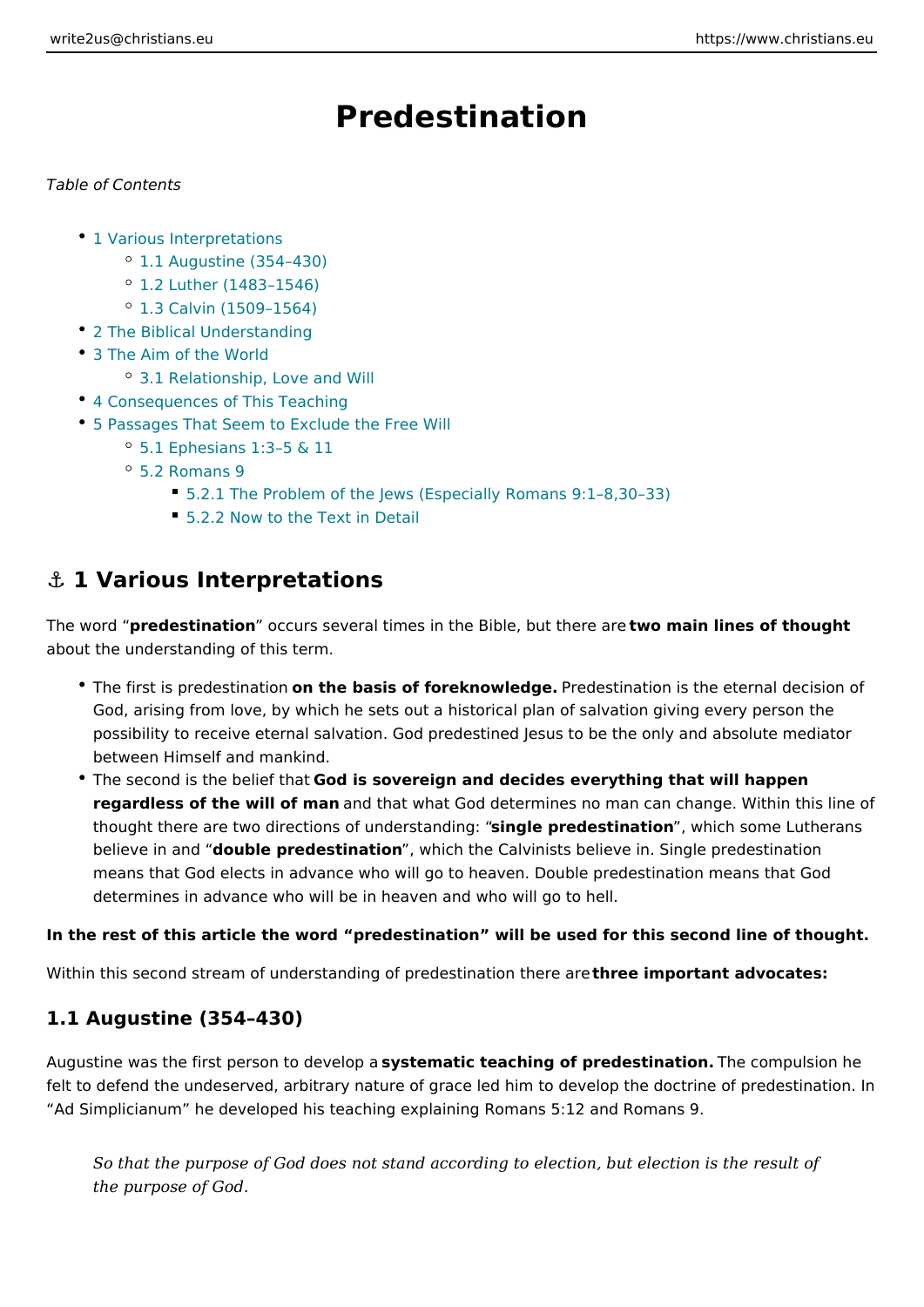# Predestination

#### Table of Contents

- 1 Various Interpretations
	- <sup>o</sup> 1.1 Augustine (354 430)
	- <sup>o</sup> 1.2 Luther (1483 1546)
	- $^{\circ}$  1.3 Calvin (1509 1564)
- [2 The Biblical Under](#page-1-0)standing
- [3 The Aim of the](#page-2-0) World
	- [3.1 Relationship, Lov](#page-2-0)e and Will
- [4 Consequences of This](#page-3-0) Teaching
- [5 Passages That Seem to Exclud](#page-5-0)e the Free Will
	- 5.1 Ephesians 1:3 5 & 11
	- [5.2 Roma](#page-6-0)ns 9
		- 5.2.1 The Problem of the Jews (Especially Romans 9:1 8,30 33)
		- [5.2.2 Now to the Text](#page-7-0) in Detail

### &" 1 Various Interpretations

The word redestination ccurs several times in the Biblet who u marier binage of thought about the understanding of this term.

- \* The first is predesom a hiso mbasis of foreknowled getestination is the eternal dec God, arising from love, by which he sets out a historical plan of salvation g possibility to receive eternal salvation. God predestined Jesus to be the onl between Himself and mankind.
- The second is the beGiced that a to vereign and decides everything that will happe regardless of the will of modath hat what God determines no man can change. W thought there are two directions of unsidengriest aperophical some in some Lutheran believe in adroduble predestination hich the Calvinists believe in. Single predes means that God elects in advance who will go to heaven. Double predestinat determines in advance who will be in heaven and who will go to hell.

In the rest of this article the word predestination will be used for this second I

Within this second stream of understanding of predbset en anniponrtherea divecates:

#### 1.1 Augustine (354 430)

Augustine was the first person styps deem alto p teaching of predestimate compulsion he felt to defend the undeserved, arbitrary nature of grace led him to develop the d Ad Simplicianum he developed his teaching explaining Romans 5:12 and Roman

So that the purpose of God does not stand according to election, but elect the purpose of God.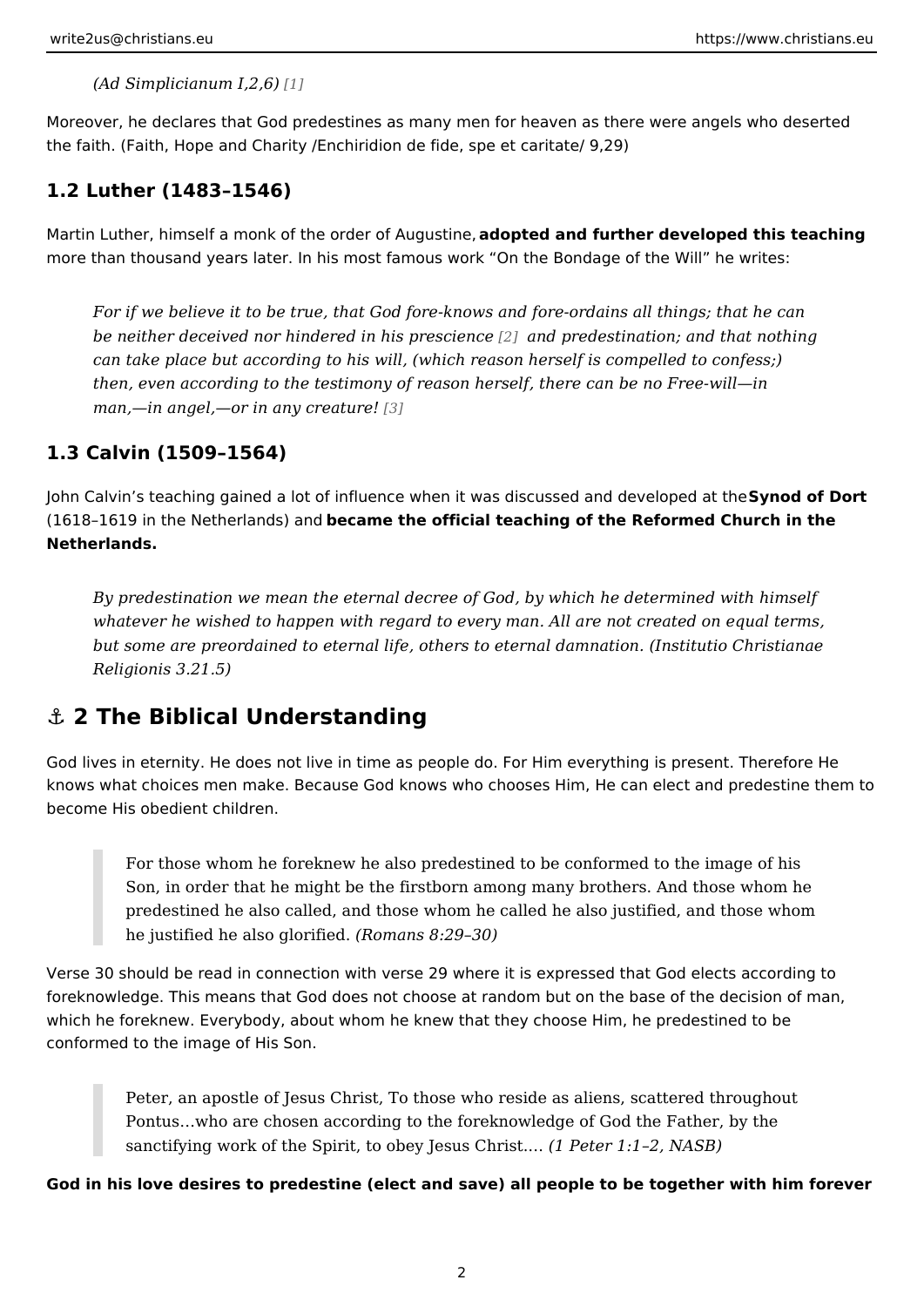<span id="page-1-0"></span> $(Ad$  Simplicianum  $1, 2, 6$ )

Moreover, he declares that God predestines as many men for heaven as there we the faith. (Faith, Hope and Charity /Enchiridion de fide, spe et caritate/ 9,29)

1.2 Luther (1483 1546)

Martin Luther, himself a monk of the order of the Aduanstine ther developed this teach more than thousand years later. In his most famous work On the Bondage of the

For if we believe it to be true, that God fore-knows and fore-ordains all th be neither deceived nor hindered in hals approbaction and that nothing be neither and that nothing can take place but according to his will, (which reason herself is compelle then, even according to the testimony of reason herself, there can be no F man, in angel, or in any c[rea](#page-8-0)ture!

1.3 Calvin (1509 1564)

John Calvin s teaching gained a lot of influence when it was discSuys nseed at mo Dodretve (1618 1619 in the Netherlane dament he official teaching of the Reformed Church in Netherlands.

By predestination we mean the eternal decree of God, by which he determi whatever he wished to happen with regard to every man. All are not create but some are preordained to eternal life, others to enternimatid a Commasto annae Religionis 3.21.5)

#### &" 2 The Biblical Understanding

God lives in eternity. He does not live in time as people do. For Him everything knows what choices men make. Because God knows who chooses Him, He can ele become His obedient children.

For those whom he foreknew he also predestined to be conformed to the Son, in order that he might be the firstborn among many brothers. And t predestined he also called, and those whom he called he also justified, he justified he also  $g/N$  mixed. 8:29 30)

Verse 30 should be read in connection with verse 29 where it is expressed that G foreknowledge. This means that God does not choose at random but on the base which he foreknew. Everybody, about whom he knew that they choose Him, he pre conformed to the image of His Son.

Peter, an apostle of Jesus Christ, To those who reside as aliens, scatte Pontus & who are chosen according to the foreknowledge of God the Fath sanctifying work of the Spirit, to obey (JeBeseChrist2& NASB)

God in his love desires to predestine (elect and save) all people to be together

2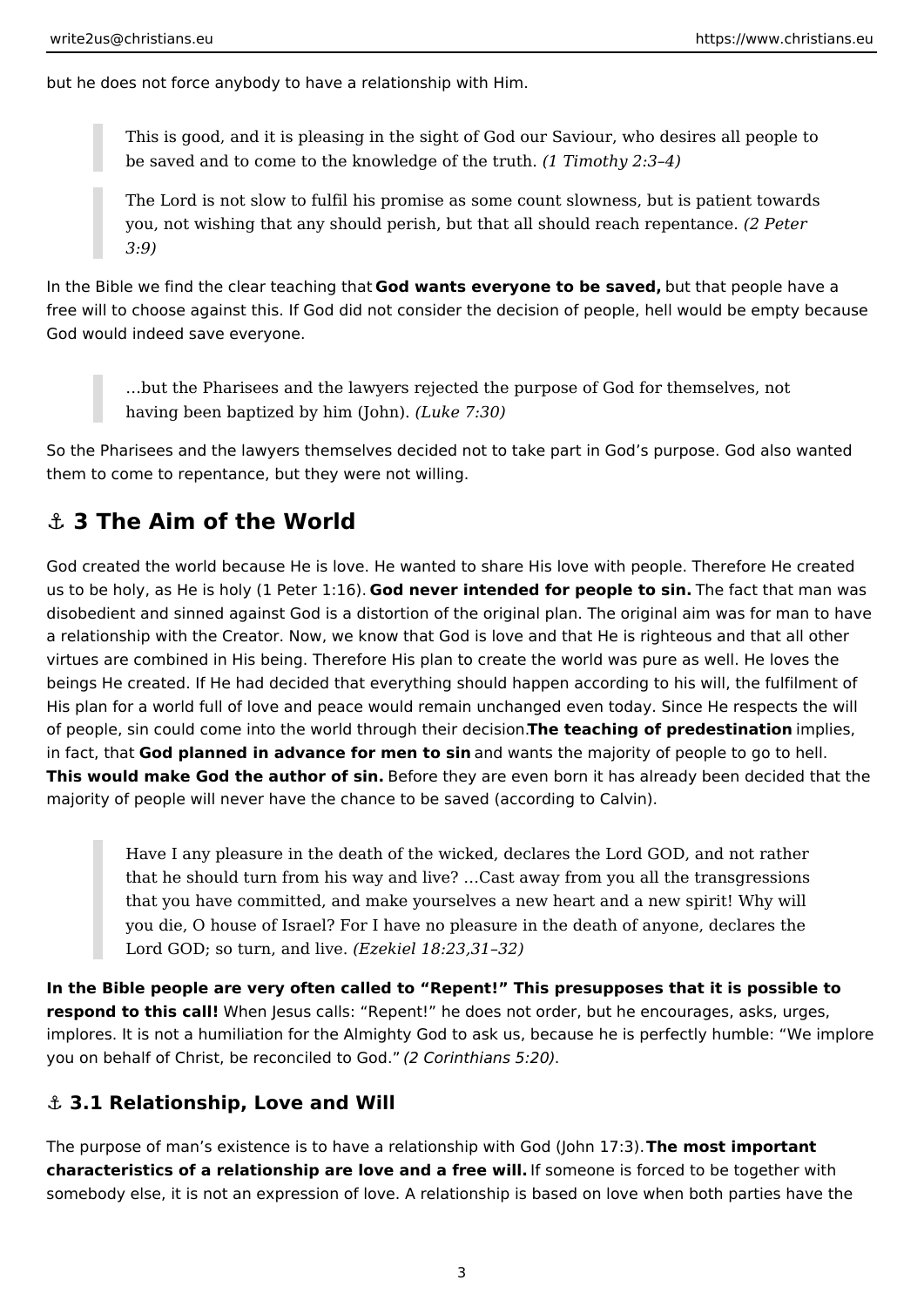<span id="page-2-0"></span>but he does not force anybody to have a relationship with Him.

This is good, and it is pleasing in the sight of God our Saviour, who desires all people to be saved and to come to the knowledge of the truth. *(1 Timothy 2:3–4)*

The Lord is not slow to fulfil his promise as some count slowness, but is patient towards you, not wishing that any should perish, but that all should reach repentance. *(2 Peter 3:9)*

In the Bible we find the clear teaching that **God wants everyone to be saved,** but that people have a free will to choose against this. If God did not consider the decision of people, hell would be empty because God would indeed save everyone.

…but the Pharisees and the lawyers rejected the purpose of God for themselves, not having been baptized by him (John). *(Luke 7:30)*

So the Pharisees and the lawyers themselves decided not to take part in God's purpose. God also wanted them to come to repentance, but they were not willing.

## **⚓ 3 The Aim of the World**

God created the world because He is love. He wanted to share His love with people. Therefore He created us to be holy, as He is holy (1 Peter 1:16). **God never intended for people to sin.** The fact that man was disobedient and sinned against God is a distortion of the original plan. The original aim was for man to have a relationship with the Creator. Now, we know that God is love and that He is righteous and that all other virtues are combined in His being. Therefore His plan to create the world was pure as well. He loves the beings He created. If He had decided that everything should happen according to his will, the fulfilment of His plan for a world full of love and peace would remain unchanged even today. Since He respects the will of people, sin could come into the world through their decision.**The teaching of predestination** implies, in fact, that **God planned in advance for men to sin** and wants the majority of people to go to hell. **This would make God the author of sin.** Before they are even born it has already been decided that the majority of people will never have the chance to be saved (according to Calvin).

Have I any pleasure in the death of the wicked, declares the Lord GOD, and not rather that he should turn from his way and live? …Cast away from you all the transgressions that you have committed, and make yourselves a new heart and a new spirit! Why will you die, O house of Israel? For I have no pleasure in the death of anyone, declares the Lord GOD; so turn, and live. *(Ezekiel 18:23,31–32)*

**In the Bible people are very often called to "Repent!" This presupposes that it is possible to respond to this call!** When Jesus calls: "Repent!" he does not order, but he encourages, asks, urges, implores. It is not a humiliation for the Almighty God to ask us, because he is perfectly humble: "We implore you on behalf of Christ, be reconciled to God." *(2 Corinthians 5:20)*.

#### **⚓ 3.1 Relationship, Love and Will**

The purpose of man's existence is to have a relationship with God (John 17:3). **The most important characteristics of a relationship are love and a free will.** If someone is forced to be together with somebody else, it is not an expression of love. A relationship is based on love when both parties have the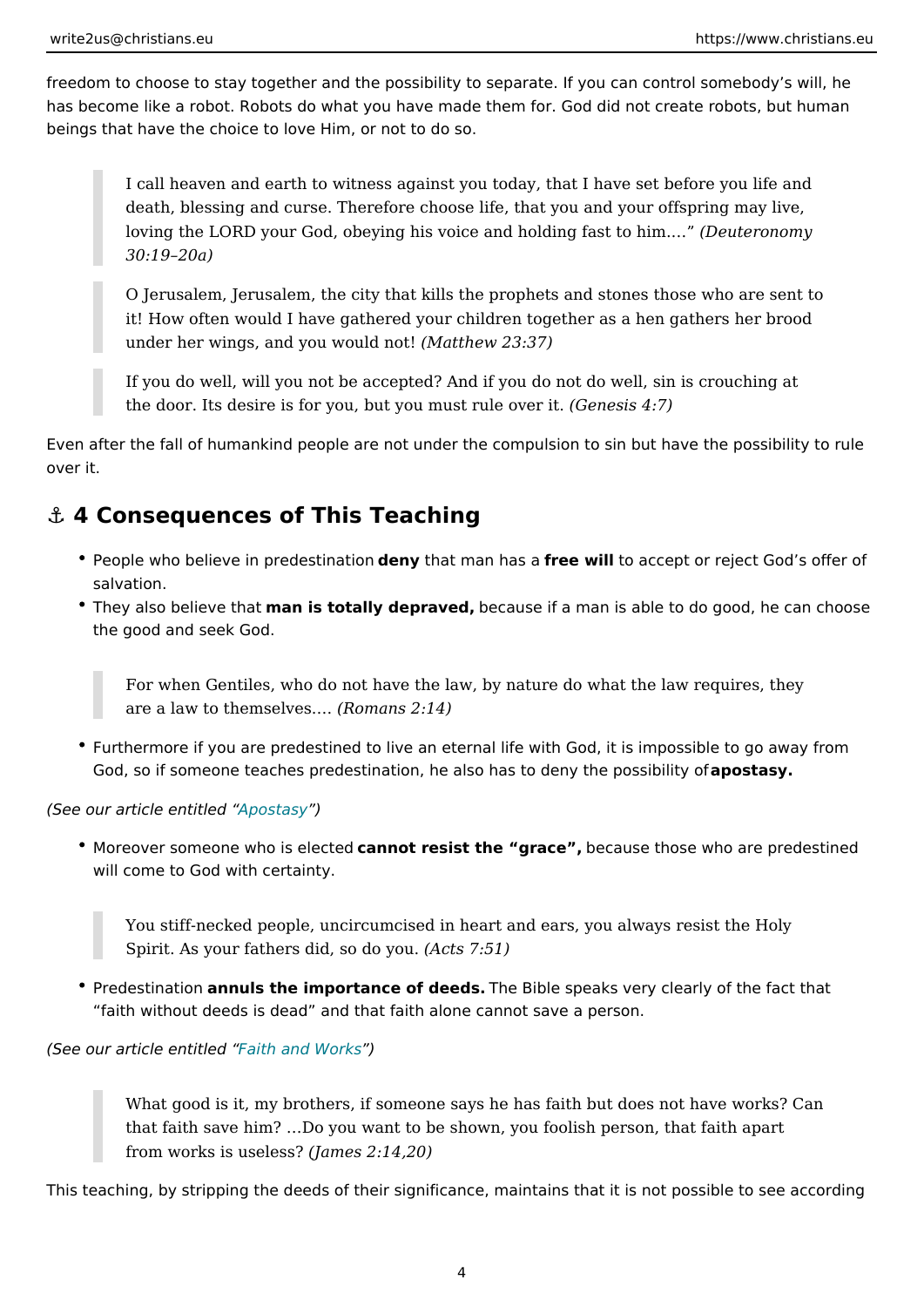<span id="page-3-0"></span>freedom to choose to stay together and the possibility to separate. If you can co has become like a robot. Robots do what you have made them for. God did not cr beings that have the choice to love Him, or not to do so.

I call heaven and earth to witness against you today, that I have set be death, blessing and curse. Therefore choose life, that you and your offs loving the LORD your God, obeying his voice and hold engelera sto to yhim. & 30:19 20a)

O Jerusalem, Jerusalem, the city that kills the prophets and stones thos it! How often would I have gathered your children together as a hen gat under her wings, and you w( $\delta$ Muad to the metal 23:37)

If you do well, will you not be accepted? And if you do not do well, sin the door. Its desire is for you, but you m Getheusis  $4vE$  it.

Even after the fall of humankind people are not under the compulsion to sin but over it.

### &" 4 Consequences of This Teaching

- People who believe in preddeesnty that fom an has e a will to accept or reject God s of salvation.
- \* They also believmeathast otally deprabed ause if a man is able to do good, he the good and seek God.

For when Gentiles, who do not have the law, by nature do what the law are a law to themsell  $\Re$  esn.  $\Re$  ns 2:14)

• Furthermore if you are predestined to live an eternal life with God, it is imp God, so if someone teaches predestination, he also has tapdenay syhe possibil

 $(See$  our article entimident  $dy$ 

 $\bullet$  Moreover someone who is an line the sist the grabe cause those who are predest will come to God with certainty.

You stiff-necked people, uncircumcised in heart and ears, you always re Spirit. As your fathers did, (so to 07y 5 t)

 $\texttt{\texttt{P}}$  Predestinatimo muls the importance of deeds. Bible speaks very clearly of the fact that faith without deeds is dead and that faith alone cannot save a person.

(Seeour article efitiatilled and Works

What good is it, my brothers, if someone says he has faith but does not that faith save him? &Do you want to be shown, you foolish person, that from works is us $\ell$ Jesmse? 2:14,20)

This teaching, by stripping the deeds of their significance, maintains that it is n

4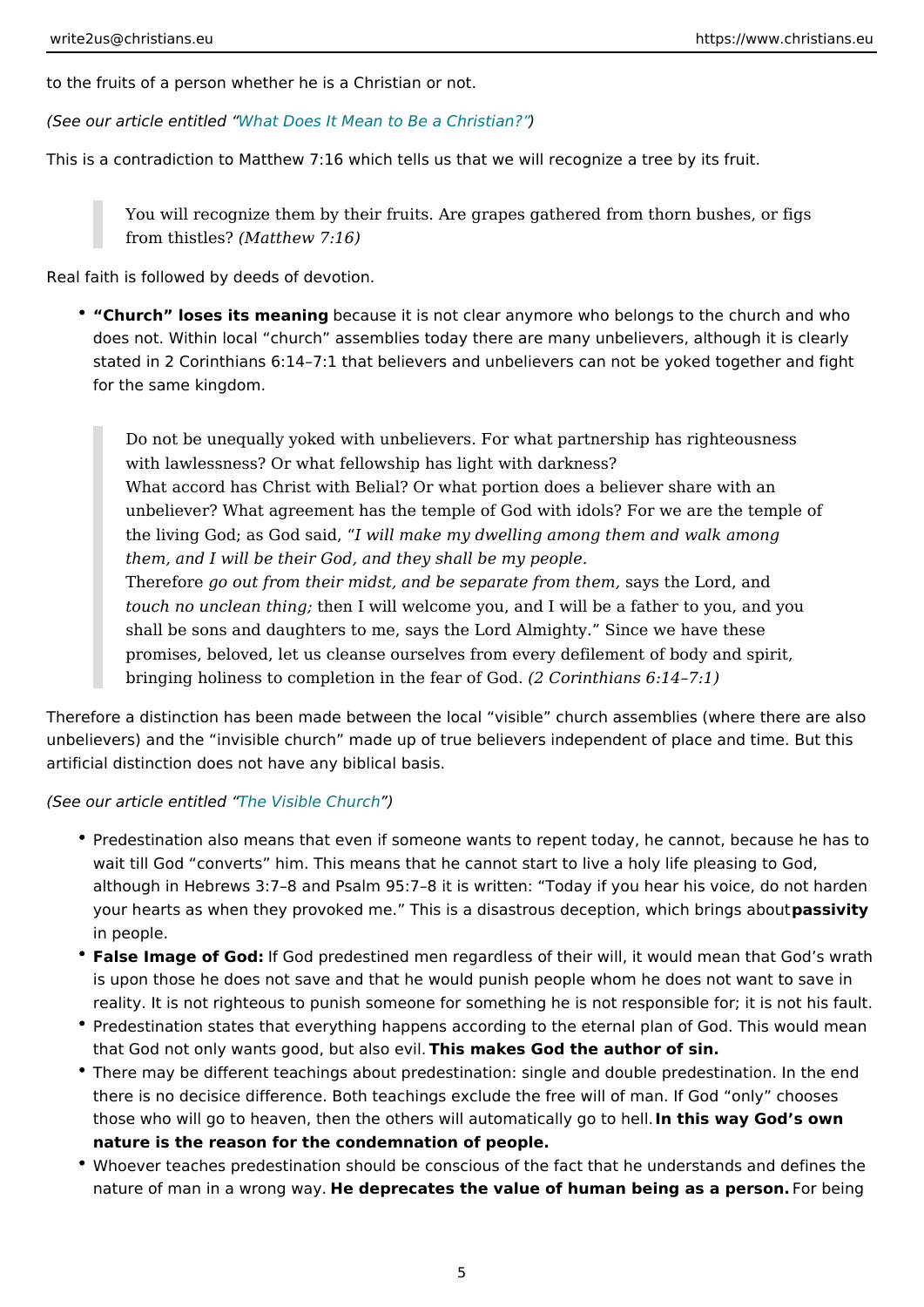to the fruits of a person whether he is a Christian or not.

(See our article emouthitated Does It Mean to Be a Christian?

This is a contradiction to Matthew 7:16 which tells us that we will recognize a tr

You will recognize them by their fruits. Are grapes gathered from thorn from thistles at the w  $7:16$ )

Real faith is followed by deeds of devotion.

• Church loses its meabmenguse it is not clear anymore who belongs to the ch does not. Within local church assemblies today there are many unbelievers stated in 2 Corinthians 6:14 7:1 that believers and unbelievers can not be y for the same kingdom.

Do not be unequally yoked with unbelievers. For what partnership has right with lawlessness? Or what fellowship has light with darkness? What accord has Christ with Belial? Or what portion does a believer sha unbeliever? What agreement has the temple of God with idols? For we a the living God; as Goldwsialid make my dwelling among them and walk amon them, and I will be their God, and they shall be my people. Therefog wout from their midst, and be separast  $x$  y for the rd, and touch no unclean themg! will welcome you, and I will be a father to you, shall be sons and daughters to me, says the Lord Almighty. Since we h promises, beloved, let us cleanse ourselves from every defilement of bo bringing holiness to completion in th $(2 f \mathbf{G})$  ariof h $\mathbf{G}$  and  $\mathbf{S}$ . 14 7:1)

Therefore a distinction has been made between the local visible church assemb unbelievers) and the invisible church made up of true believers independent of artificial distinction does not have any biblical basis.

(Seeour article emthitle/dsible Church

- \* Predestination also means that even if someone wants to repent today, he c wait till God converts him. This means that he cannot start to live a holy I although in Hebrews 3:7 8 and Psalm 95:7 8 it is written: Today if you hear your hearts as when they provoked me. This is a disastrous decpasiscinity hid in people.
- False Image of GlódGod predestined men regardless of their will, it would me is upon those he does not save and that he would punish people whom he do reality. It is not righteous to punish someone for something he is not respor
- Predestination states that everything happens according to the eternal plan that God not only wants good, but is a list a ke wil God the author of sin.
- \* There may be different teachings about predestination: single and double pr there is no decisice difference. Both teachings exclude the free will of man. those who will go to heaven, then the others will automatis cardy Good os hown h nature is the reason for the condemnation of people.
- \* Whoever teaches predestination should be conscious of the fact that he und nature of man in a wrotheg dweapyre cates the value of human being as Faorphesing.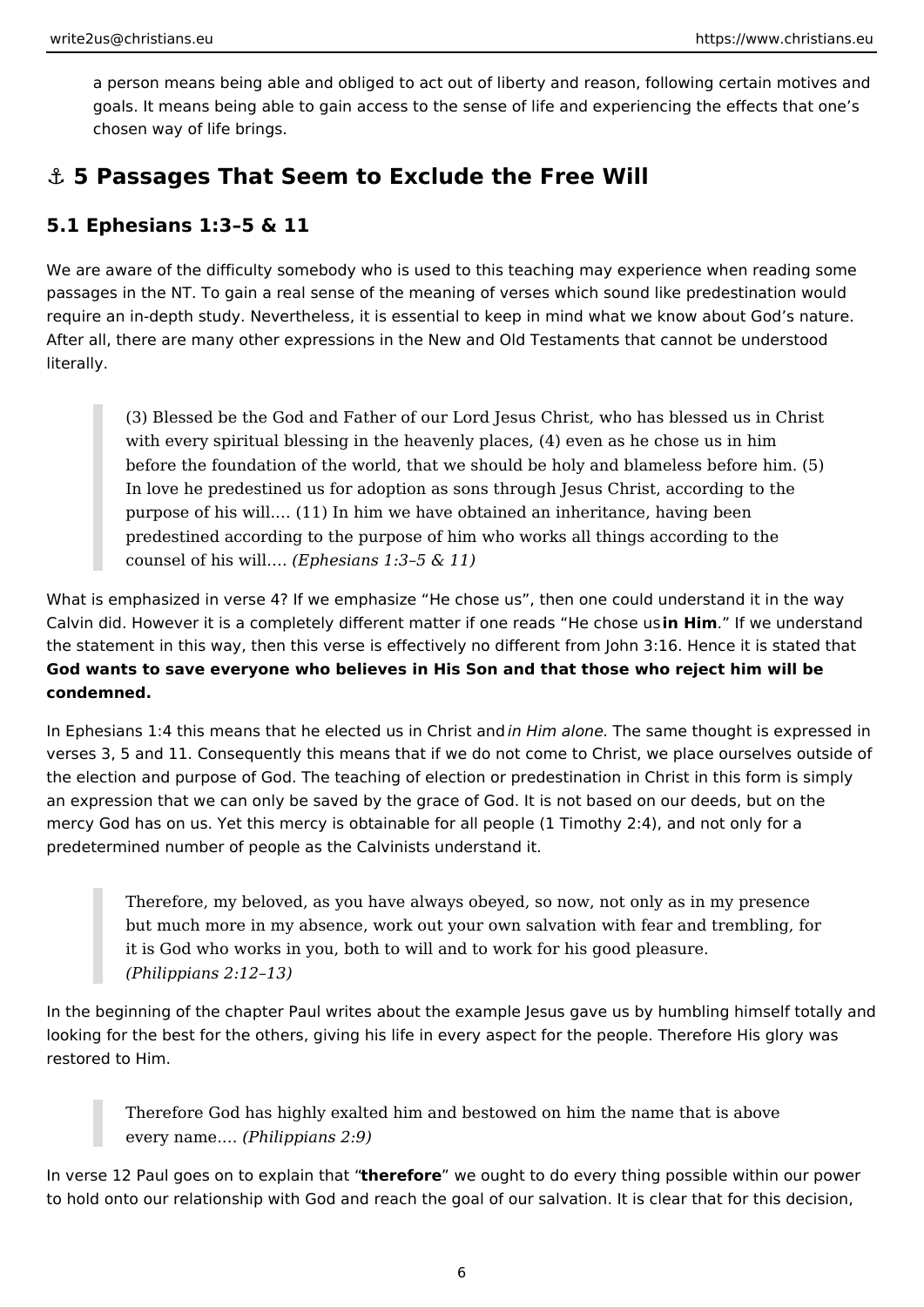<span id="page-5-0"></span>a person means being able and obliged to act out of liberty and reason, following certain motives and goals. It means being able to gain access to the sense of life and experiencing the effects that one's chosen way of life brings.

## **⚓ 5 Passages That Seem to Exclude the Free Will**

## **5.1 Ephesians 1:3–5 & 11**

We are aware of the difficulty somebody who is used to this teaching may experience when reading some passages in the NT. To gain a real sense of the meaning of verses which sound like predestination would require an in-depth study. Nevertheless, it is essential to keep in mind what we know about God's nature. After all, there are many other expressions in the New and Old Testaments that cannot be understood literally.

(3) Blessed be the God and Father of our Lord Jesus Christ, who has blessed us in Christ with every spiritual blessing in the heavenly places, (4) even as he chose us in him before the foundation of the world, that we should be holy and blameless before him. (5) In love he predestined us for adoption as sons through Jesus Christ, according to the purpose of his will.… (11) In him we have obtained an inheritance, having been predestined according to the purpose of him who works all things according to the counsel of his will.… *(Ephesians 1:3–5 & 11)*

What is emphasized in verse 4? If we emphasize "He chose us", then one could understand it in the way Calvin did. However it is a completely different matter if one reads "He chose us **in Him**." If we understand the statement in this way, then this verse is effectively no different from John 3:16. Hence it is stated that **God wants to save everyone who believes in His Son and that those who reject him will be condemned.**

In Ephesians 1:4 this means that he elected us in Christ and *in Him alone*. The same thought is expressed in verses 3, 5 and 11. Consequently this means that if we do not come to Christ, we place ourselves outside of the election and purpose of God. The teaching of election or predestination in Christ in this form is simply an expression that we can only be saved by the grace of God. It is not based on our deeds, but on the mercy God has on us. Yet this mercy is obtainable for all people (1 Timothy 2:4), and not only for a predetermined number of people as the Calvinists understand it.

Therefore, my beloved, as you have always obeyed, so now, not only as in my presence but much more in my absence, work out your own salvation with fear and trembling, for it is God who works in you, both to will and to work for his good pleasure. *(Philippians 2:12–13)*

In the beginning of the chapter Paul writes about the example Jesus gave us by humbling himself totally and looking for the best for the others, giving his life in every aspect for the people. Therefore His glory was restored to Him.

Therefore God has highly exalted him and bestowed on him the name that is above every name.… *(Philippians 2:9)*

In verse 12 Paul goes on to explain that "**therefore**" we ought to do every thing possible within our power to hold onto our relationship with God and reach the goal of our salvation. It is clear that for this decision,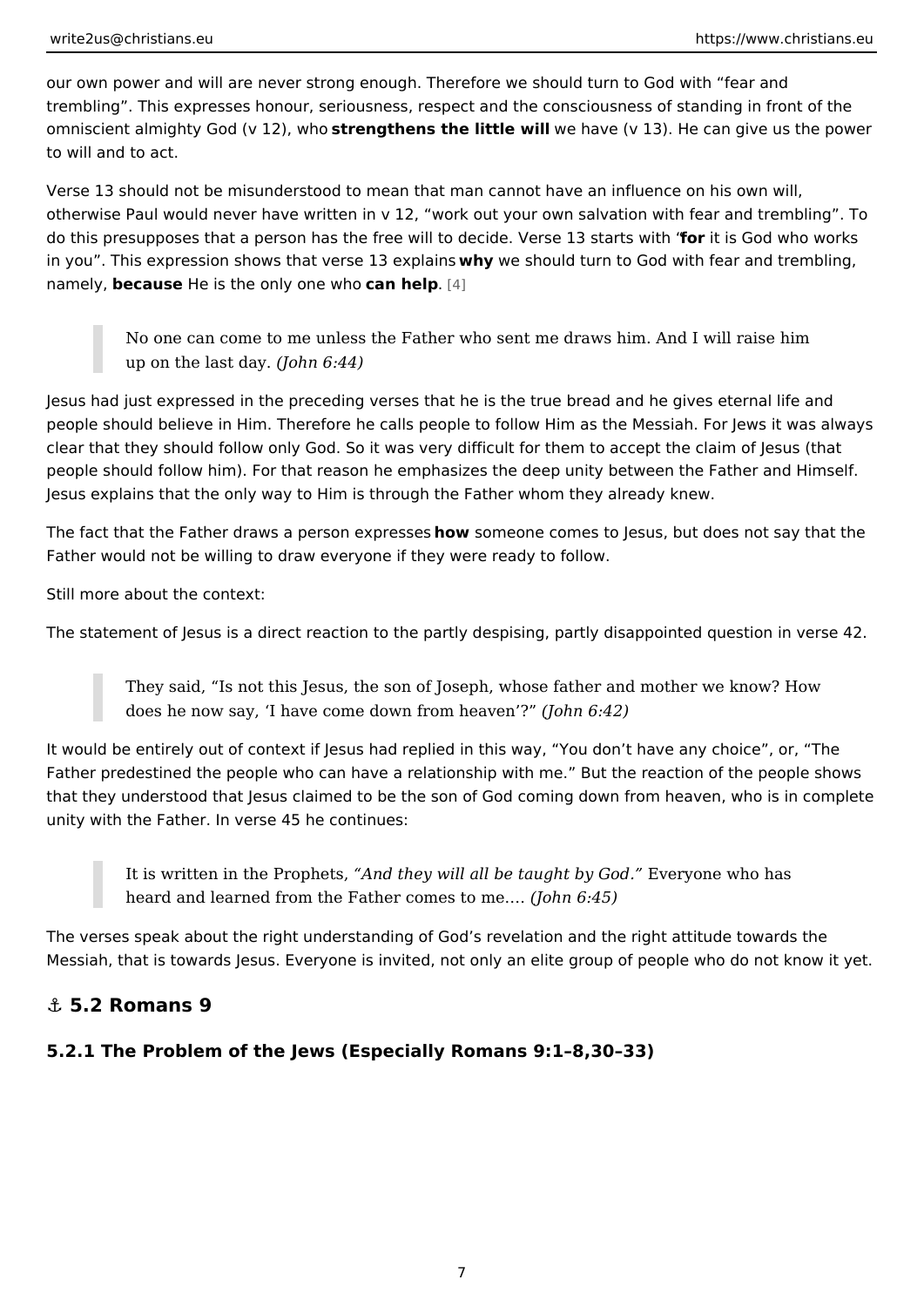<span id="page-6-0"></span>our own power and will are never strong enough. Therefore we should turn to Go trembling . This expresses honour, seriousness, respect and the consciousness of omniscient almighty God (wstt  $\hat{\mathbf{z}}$  in a whe only the little we will ave (v 13). He can give us the power to will and to act.

Verse 13 should not be misunderstood to mean that man cannot have an influenc otherwise Paul would never have written in v 12, work out your own salvation w do this presupposes that a person has the free will to decifobe.itVies sGeod 3w shitca wite r with in you . This expression shows that vew bey wild selve what the God with fear and tre  $n$ amely, ecausele is the only one an wheelp  $4$ ]

No one can come to me unless the Father who sent me draws him. And I up on the last  $($  dayn  $6:44)$ 

Jesus had just expressed in the preceding verses that he is the true bread and h people should believe in Him. Therefore he calls people to follow Him as the Me clear that they should follow only God. So it was very difficult for them to accep people should follow him). For that reason he emphasizes the deep unity betwee Jesus explains that the only way to Him is through the Father whom they already

The fact that the Father draws a perhscowns expercerses ecsomes to Jesus, but does not say Father would not be willing to draw everyone if they were ready to follow.

Still more about the context:

The statement of Jesus is a direct reaction to the partly despising, partly disapp

They said, Is not this Jesus, the son of Joseph, whose father and moth does he now say, I have come down f(rolomh me 6a 4 2 m) ?

It would be entirely out of context if Jesus had replied in this way, You don that Father predestined the people who can have a relationship with me. But the rea that they understood that Jesus claimed to be the son of God coming down from unity with the Father. In verse 45 he continues:

It is written in the Prommethey will all be taught Eby engode who has heard and learned from the Father combets to  $\hat{\mathbf{s}}$ .

The verses speak about the right understanding of God s revelation and the righ Messiah, that is towards Jesus. Everyone is invited, not only an elite group of p

&" 5.2 Romans 9

5.2.1 The Problem of the Jews (Especially Romans 9:1 8,30 33)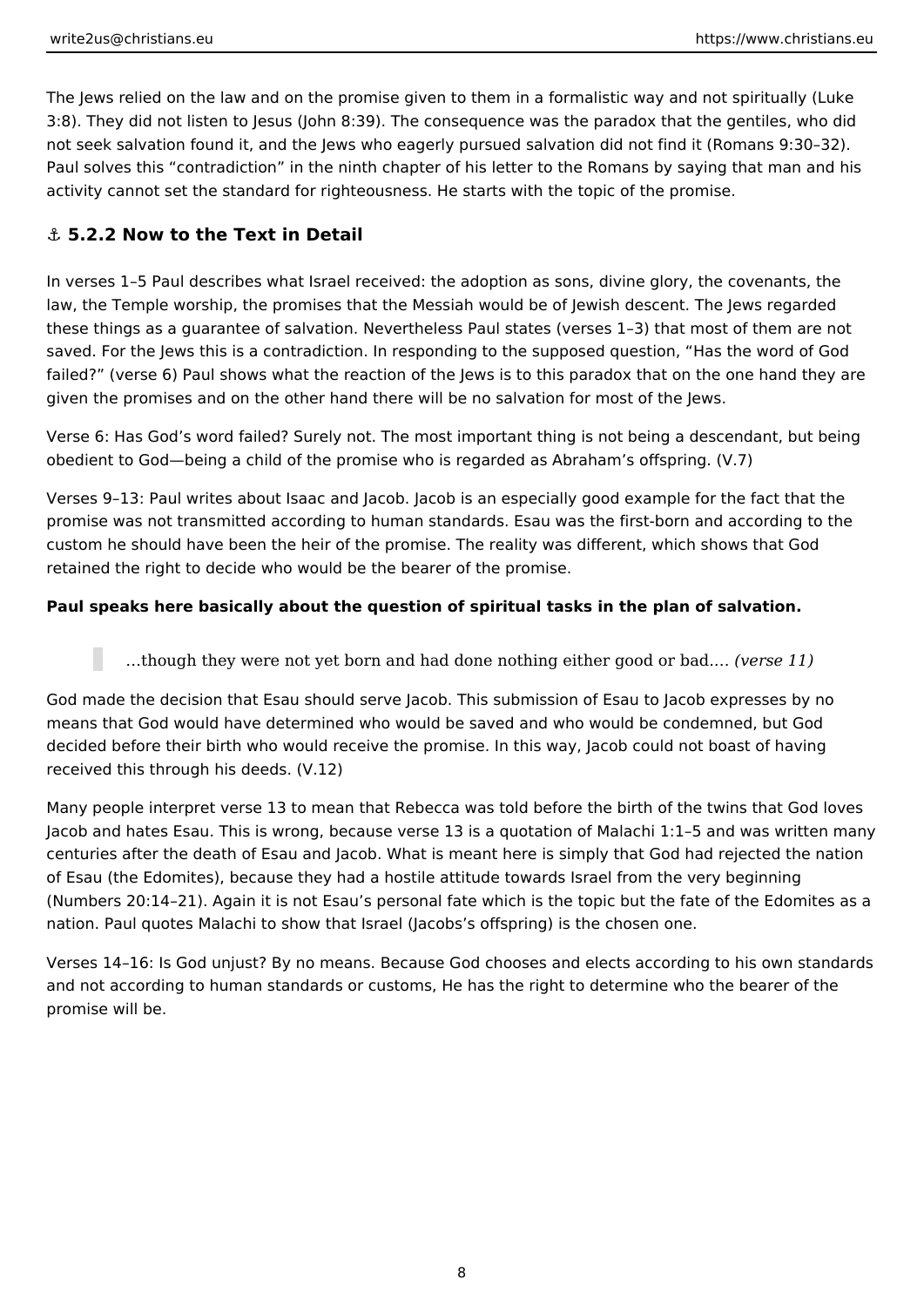<span id="page-7-0"></span>The Jews relied on the law and on the promise given to them in a formalistic way and not spiritually (Luke 3:8). They did not listen to Jesus (John 8:39). The consequence was the paradox that the gentiles, who did not seek salvation found it, and the Jews who eagerly pursued salvation did not find it (Romans 9:30–32). Paul solves this "contradiction" in the ninth chapter of his letter to the Romans by saying that man and his activity cannot set the standard for righteousness. He starts with the topic of the promise.

### **⚓ 5.2.2 Now to the Text in Detail**

In verses 1–5 Paul describes what Israel received: the adoption as sons, divine glory, the covenants, the law, the Temple worship, the promises that the Messiah would be of Jewish descent. The Jews regarded these things as a guarantee of salvation. Nevertheless Paul states (verses 1–3) that most of them are not saved. For the Jews this is a contradiction. In responding to the supposed question, "Has the word of God failed?" (verse 6) Paul shows what the reaction of the Jews is to this paradox that on the one hand they are given the promises and on the other hand there will be no salvation for most of the Jews.

Verse 6: Has God's word failed? Surely not. The most important thing is not being a descendant, but being obedient to God—being a child of the promise who is regarded as Abraham's offspring. (V.7)

Verses 9–13: Paul writes about Isaac and Jacob. Jacob is an especially good example for the fact that the promise was not transmitted according to human standards. Esau was the first-born and according to the custom he should have been the heir of the promise. The reality was different, which shows that God retained the right to decide who would be the bearer of the promise.

#### **Paul speaks here basically about the question of spiritual tasks in the plan of salvation.**

…though they were not yet born and had done nothing either good or bad.… *(verse 11)*

God made the decision that Esau should serve Jacob. This submission of Esau to Jacob expresses by no means that God would have determined who would be saved and who would be condemned, but God decided before their birth who would receive the promise. In this way, Jacob could not boast of having received this through his deeds. (V.12)

Many people interpret verse 13 to mean that Rebecca was told before the birth of the twins that God loves Jacob and hates Esau. This is wrong, because verse 13 is a quotation of Malachi 1:1–5 and was written many centuries after the death of Esau and Jacob. What is meant here is simply that God had rejected the nation of Esau (the Edomites), because they had a hostile attitude towards Israel from the very beginning (Numbers 20:14–21). Again it is not Esau's personal fate which is the topic but the fate of the Edomites as a nation. Paul quotes Malachi to show that Israel (Jacobs's offspring) is the chosen one.

Verses 14–16: Is God unjust? By no means. Because God chooses and elects according to his own standards and not according to human standards or customs, He has the right to determine who the bearer of the promise will be.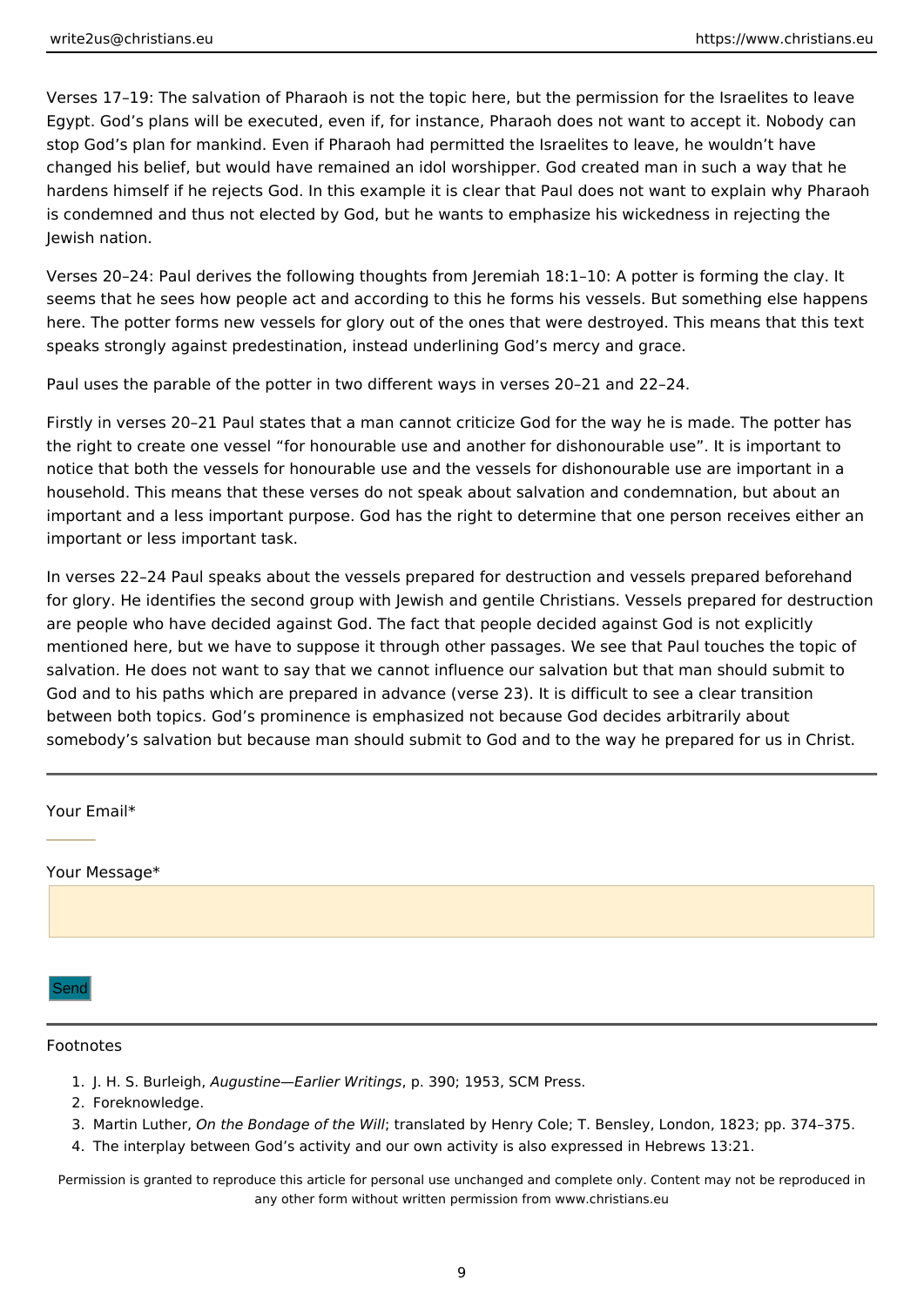<span id="page-8-0"></span>Verses 17–19: The salvation of Pharaoh is not the topic here, but the permission for the Israelites to leave Egypt. God's plans will be executed, even if, for instance, Pharaoh does not want to accept it. Nobody can stop God's plan for mankind. Even if Pharaoh had permitted the Israelites to leave, he wouldn't have changed his belief, but would have remained an idol worshipper. God created man in such a way that he hardens himself if he rejects God. In this example it is clear that Paul does not want to explain why Pharaoh is condemned and thus not elected by God, but he wants to emphasize his wickedness in rejecting the Jewish nation.

Verses 20–24: Paul derives the following thoughts from Jeremiah 18:1–10: A potter is forming the clay. It seems that he sees how people act and according to this he forms his vessels. But something else happens here. The potter forms new vessels for glory out of the ones that were destroyed. This means that this text speaks strongly against predestination, instead underlining God's mercy and grace.

Paul uses the parable of the potter in two different ways in verses 20–21 and 22–24.

Firstly in verses 20–21 Paul states that a man cannot criticize God for the way he is made. The potter has the right to create one vessel "for honourable use and another for dishonourable use". It is important to notice that both the vessels for honourable use and the vessels for dishonourable use are important in a household. This means that these verses do not speak about salvation and condemnation, but about an important and a less important purpose. God has the right to determine that one person receives either an important or less important task.

In verses 22–24 Paul speaks about the vessels prepared for destruction and vessels prepared beforehand for glory. He identifies the second group with Jewish and gentile Christians. Vessels prepared for destruction are people who have decided against God. The fact that people decided against God is not explicitly mentioned here, but we have to suppose it through other passages. We see that Paul touches the topic of salvation. He does not want to say that we cannot influence our salvation but that man should submit to God and to his paths which are prepared in advance (verse 23). It is difficult to see a clear transition between both topics. God's prominence is emphasized not because God decides arbitrarily about somebody's salvation but because man should submit to God and to the way he prepared for us in Christ.

| Your Email*   |  |
|---------------|--|
|               |  |
| Your Message* |  |
| Send          |  |

#### Footnotes

- 1. J. H. S. Burleigh, *Augustine—Earlier Writings*, p. 390; 1953, SCM Press.
- 2. Foreknowledge.
- 3. Martin Luther, *On the Bondage of the Will*; translated by Henry Cole; T. Bensley, London, 1823; pp. 374–375.
- 4. The interplay between God's activity and our own activity is also expressed in Hebrews 13:21.

Permission is granted to reproduce this article for personal use unchanged and complete only. Content may not be reproduced in any other form without written permission from www.christians.eu